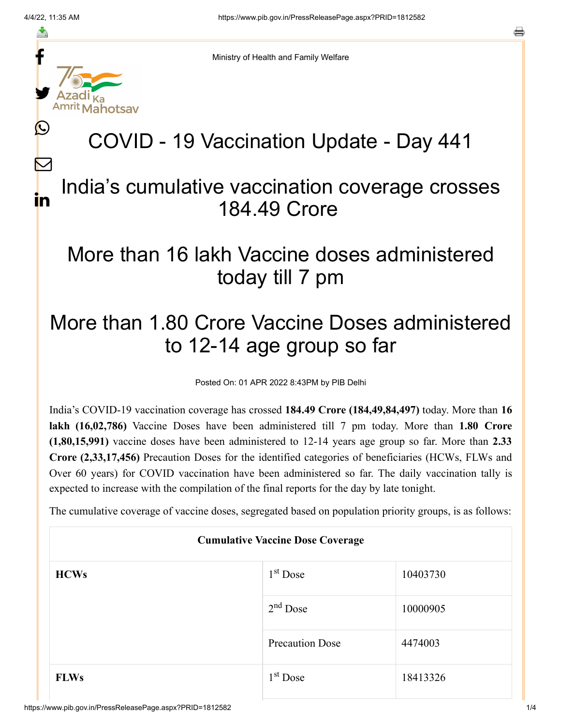f

≛

y.

L

 $\bm{\nabla}$ 

in

a

Ministry of Health and Family Welfare

# COVID - 19 Vaccination Update - Day 441

#### India's cumulative vaccination coverage crosses 184.49 Crore

### More than 16 lakh Vaccine doses administered today till 7 pm

## More than 1.80 Crore Vaccine Doses administered to 12-14 age group so far

Posted On: 01 APR 2022 8:43PM by PIB Delhi

India's COVID-19 vaccination coverage has crossed **184.49 Crore (184,49,84,497)** today. More than **16 lakh (16,02,786)** Vaccine Doses have been administered till 7 pm today. More than **1.80 Crore (1,80,15,991)** vaccine doses have been administered to 12-14 years age group so far. More than **2.33 Crore (2,33,17,456)** Precaution Doses for the identified categories of beneficiaries (HCWs, FLWs and Over 60 years) for COVID vaccination have been administered so far. The daily vaccination tally is expected to increase with the compilation of the final reports for the day by late tonight.

The cumulative coverage of vaccine doses, segregated based on population priority groups, is as follows:

| <b>Cumulative Vaccine Dose Coverage</b> |                        |          |  |  |
|-----------------------------------------|------------------------|----------|--|--|
| <b>HCWs</b>                             | $1st$ Dose             | 10403730 |  |  |
|                                         | $2nd$ Dose             | 10000905 |  |  |
|                                         | <b>Precaution Dose</b> | 4474003  |  |  |
| <b>FLWs</b>                             | $1st$ Dose             | 18413326 |  |  |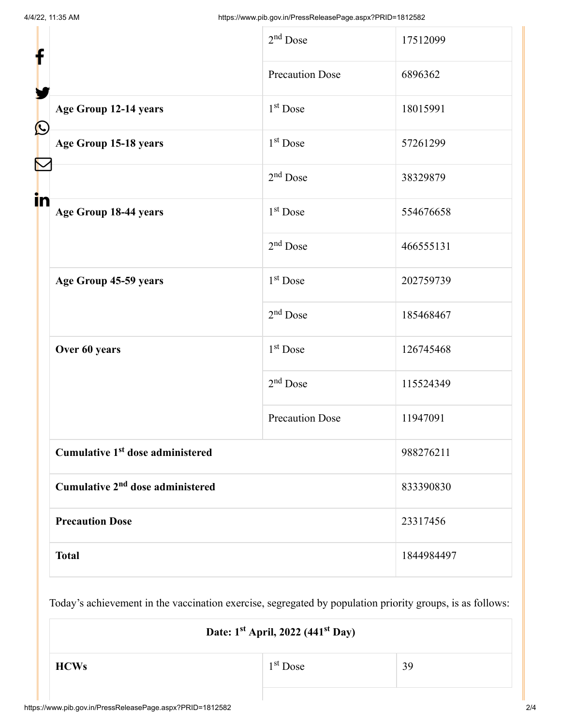| f            |                                              | $2nd$ Dose             | 17512099   |
|--------------|----------------------------------------------|------------------------|------------|
|              |                                              | <b>Precaution Dose</b> | 6896362    |
| $\bf \Omega$ | Age Group 12-14 years                        | $1st$ Dose             | 18015991   |
|              | Age Group 15-18 years                        | $1st$ Dose             | 57261299   |
|              |                                              | $2nd$ Dose             | 38329879   |
| in           | Age Group 18-44 years                        | 1 <sup>st</sup> Dose   | 554676658  |
|              |                                              | $2nd$ Dose             | 466555131  |
|              | Age Group 45-59 years                        | $1st$ Dose             | 202759739  |
|              |                                              | $2nd$ Dose             | 185468467  |
|              | Over 60 years                                | $1st$ Dose             | 126745468  |
|              |                                              | $2nd$ Dose             | 115524349  |
|              |                                              | <b>Precaution Dose</b> | 11947091   |
|              | Cumulative 1 <sup>st</sup> dose administered |                        | 988276211  |
|              | Cumulative 2 <sup>nd</sup> dose administered |                        | 833390830  |
|              | <b>Precaution Dose</b>                       |                        | 23317456   |
|              | <b>Total</b>                                 |                        | 1844984497 |

Today's achievement in the vaccination exercise, segregated by population priority groups, is as follows:

| Date: 1 <sup>st</sup> April, 2022 (441 <sup>st</sup> Day) |            |    |
|-----------------------------------------------------------|------------|----|
| <b>HCWs</b>                                               | $1st$ Dose | 39 |
|                                                           |            |    |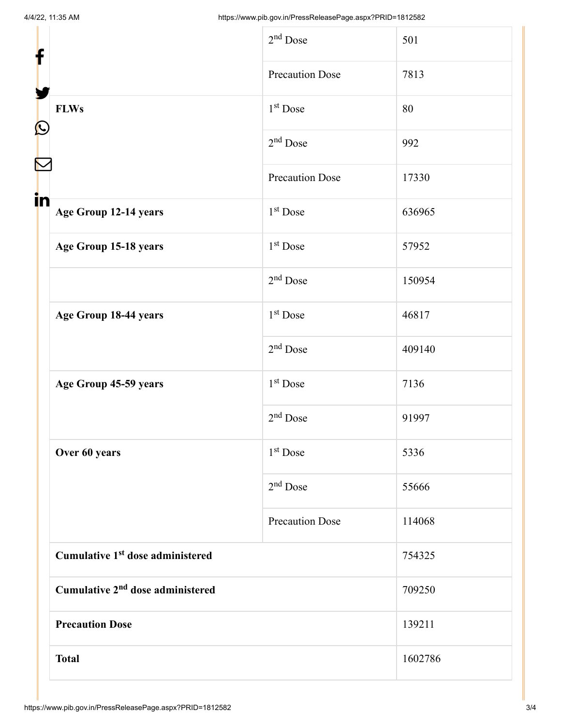|            |                                              | $2nd$ Dose             | 501     |
|------------|----------------------------------------------|------------------------|---------|
| f          | <b>FLWs</b>                                  | <b>Precaution Dose</b> | 7813    |
|            |                                              | 1 <sup>st</sup> Dose   | 80      |
| $\bigcirc$ |                                              | $2nd$ Dose             | 992     |
|            |                                              | <b>Precaution Dose</b> | 17330   |
| in         | Age Group 12-14 years                        | 1 <sup>st</sup> Dose   | 636965  |
|            | Age Group 15-18 years                        | 1 <sup>st</sup> Dose   | 57952   |
|            |                                              | 2 <sup>nd</sup> Dose   | 150954  |
|            | Age Group 18-44 years                        | 1 <sup>st</sup> Dose   | 46817   |
|            |                                              | $2nd$ Dose             | 409140  |
|            | Age Group 45-59 years                        | $1st$ Dose             | 7136    |
|            |                                              | $2nd$ Dose             | 91997   |
|            | Over 60 years                                | 1 <sup>st</sup> Dose   | 5336    |
|            |                                              | $2nd$ Dose             | 55666   |
|            |                                              | <b>Precaution Dose</b> | 114068  |
|            | Cumulative 1 <sup>st</sup> dose administered |                        | 754325  |
|            | Cumulative 2 <sup>nd</sup> dose administered |                        | 709250  |
|            | <b>Precaution Dose</b>                       |                        | 139211  |
|            | <b>Total</b>                                 |                        | 1602786 |